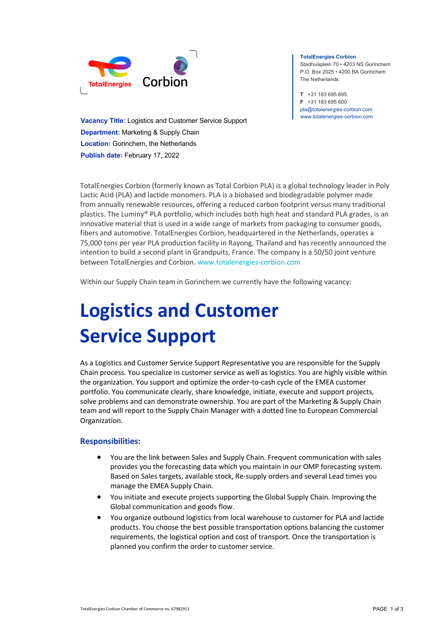

**Vacancy Title:** Logistics and Customer Service Support **Department:** Marketing & Supply Chain **Location:** Gorinchem, the Netherlands **Publish date:** February 17, 2022

#### **TotalEnergies Corbion**

Stadhuisplein 70 • 4203 NS Gorinchem P.O. Box 2025 • 4200 BA Gorinchem The Netherlands

**T** +31 183 695 695 **F** +31 183 695 600 pla@totalenergies-corbion.com www.totalenergies-corbion.com

TotalEnergies Corbion (formerly known as Total Corbion PLA) is a global technology leader in Poly Lactic Acid (PLA) and lactide monomers. PLA is a biobased and biodegradable polymer made from annually renewable resources, offering a reduced carbon footprint versus many traditional plastics. The Luminy® PLA portfolio, which includes both high heat and standard PLA grades, is an innovative material that is used in a wide range of markets from packaging to consumer goods, fibers and automotive. TotalEnergies Corbion, headquartered in the Netherlands, operates a 75,000 tons per year PLA production facility in Rayong, Thailand and has recently announced the intention to build a second plant in Grandpuits, France. The company is a 50/50 joint venture between TotalEnergies and Corbion. www.totalenergies-corbion.com

Within our Supply Chain team in Gorinchem we currently have the following vacancy:

# **Logistics and Customer Service Support**

As a Logistics and Customer Service Support Representative you are responsible for the Supply Chain process. You specialize in customer service as well as logistics. You are highly visible within the organization. You support and optimize the order-to-cash cycle of the EMEA customer portfolio. You communicate clearly, share knowledge, initiate, execute and support projects, solve problems and can demonstrate ownership. You are part of the Marketing & Supply Chain team and will report to the Supply Chain Manager with a dotted line to European Commercial Organization.

### **Responsibilities:**

- You are the link between Sales and Supply Chain. Frequent communication with sales provides you the forecasting data which you maintain in our OMP forecasting system. Based on Sales targets, available stock, Re-supply orders and several Lead times you manage the EMEA Supply Chain.
- You initiate and execute projects supporting the Global Supply Chain. Improving the Global communication and goods flow.
- You organize outbound logistics from local warehouse to customer for PLA and lactide products. You choose the best possible transportation options balancing the customer requirements, the logistical option and cost of transport. Once the transportation is planned you confirm the order to customer service.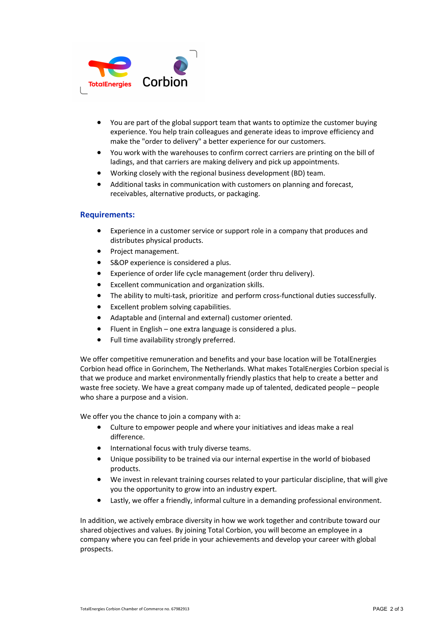

- You are part of the global support team that wants to optimize the customer buying experience. You help train colleagues and generate ideas to improve efficiency and make the "order to delivery" a better experience for our customers.
- You work with the warehouses to confirm correct carriers are printing on the bill of ladings, and that carriers are making delivery and pick up appointments.
- Working closely with the regional business development (BD) team.
- Additional tasks in communication with customers on planning and forecast, receivables, alternative products, or packaging.

#### **Requirements:**

- Experience in a customer service or support role in a company that produces and distributes physical products.
- Project management.
- S&OP experience is considered a plus.
- Experience of order life cycle management (order thru delivery).
- Excellent communication and organization skills.
- The ability to multi-task, prioritize and perform cross-functional duties successfully.
- Excellent problem solving capabilities.
- Adaptable and (internal and external) customer oriented.
- Fluent in English one extra language is considered a plus.
- Full time availability strongly preferred.

We offer competitive remuneration and benefits and your base location will be TotalEnergies Corbion head office in Gorinchem, The Netherlands. What makes TotalEnergies Corbion special is that we produce and market environmentally friendly plastics that help to create a better and waste free society. We have a great company made up of talented, dedicated people – people who share a purpose and a vision.

We offer you the chance to join a company with a:

- Culture to empower people and where your initiatives and ideas make a real difference.
- International focus with truly diverse teams.
- Unique possibility to be trained via our internal expertise in the world of biobased products.
- We invest in relevant training courses related to your particular discipline, that will give you the opportunity to grow into an industry expert.
- Lastly, we offer a friendly, informal culture in a demanding professional environment.

In addition, we actively embrace diversity in how we work together and contribute toward our shared objectives and values. By joining Total Corbion, you will become an employee in a company where you can feel pride in your achievements and develop your career with global prospects.